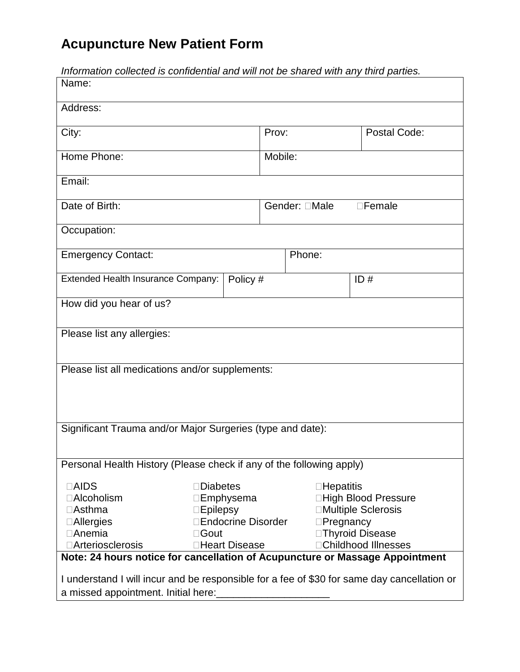## **Acupuncture New Patient Form**

| mnomialion collected is confluctifial and will not be shared with any time partics.<br>Name: |                           |                           |                            |                            |  |
|----------------------------------------------------------------------------------------------|---------------------------|---------------------------|----------------------------|----------------------------|--|
|                                                                                              |                           |                           |                            |                            |  |
| Address:                                                                                     |                           |                           |                            |                            |  |
| City:                                                                                        |                           | Prov:                     |                            | Postal Code:               |  |
| Home Phone:                                                                                  |                           | Mobile:                   |                            |                            |  |
|                                                                                              |                           |                           |                            |                            |  |
| Email:                                                                                       |                           |                           |                            |                            |  |
| Date of Birth:                                                                               |                           | Male<br>Gender:<br>Female |                            |                            |  |
|                                                                                              |                           |                           |                            |                            |  |
| Occupation:                                                                                  |                           |                           |                            |                            |  |
| <b>Emergency Contact:</b><br>Phone:                                                          |                           |                           |                            |                            |  |
|                                                                                              |                           |                           |                            |                            |  |
| Extended Health Insurance Company:                                                           | Policy #                  |                           |                            | ID#                        |  |
| How did you hear of us?                                                                      |                           |                           |                            |                            |  |
|                                                                                              |                           |                           |                            |                            |  |
| Please list any allergies:                                                                   |                           |                           |                            |                            |  |
|                                                                                              |                           |                           |                            |                            |  |
| Please list all medications and/or supplements:                                              |                           |                           |                            |                            |  |
|                                                                                              |                           |                           |                            |                            |  |
|                                                                                              |                           |                           |                            |                            |  |
|                                                                                              |                           |                           |                            |                            |  |
| Significant Trauma and/or Major Surgeries (type and date):                                   |                           |                           |                            |                            |  |
|                                                                                              |                           |                           |                            |                            |  |
| Personal Health History (Please check if any of the following apply)                         |                           |                           |                            |                            |  |
| <b>AIDS</b>                                                                                  | <b>Diabetes</b>           |                           | <b>Hepatitis</b>           |                            |  |
| Alcoholism                                                                                   | Emphysema                 |                           |                            | <b>High Blood Pressure</b> |  |
| Asthma                                                                                       | Epilepsy                  |                           |                            | <b>Multiple Sclerosis</b>  |  |
| Allergies                                                                                    | <b>Endocrine Disorder</b> |                           |                            | Pregnancy                  |  |
| Anemia                                                                                       | Gout                      |                           |                            | <b>Thyroid Disease</b>     |  |
| Arteriosclerosis                                                                             | <b>Heart Disease</b>      |                           | <b>Childhood Illnesses</b> |                            |  |
| Note: 24 hours notice for cancellation of Acupuncture or Massage Appointment                 |                           |                           |                            |                            |  |
| I understand I will incur and be responsible for a fee of \$30 for same day cancellation or  |                           |                           |                            |                            |  |
| a missed appointment. Initial here:                                                          |                           |                           |                            |                            |  |

Information collected is confidential and will not be shared with any third parties.